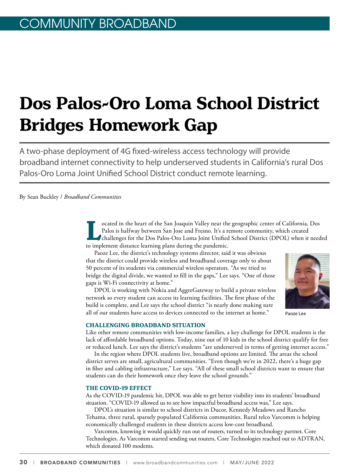# **Dos Palos-Oro Loma School District Bridges Homework Gap**

A two-phase deployment of 4G fixed-wireless access technology will provide broadband internet connectivity to help underserved students in California's rural Dos Palos-Oro Loma Joint Unified School District conduct remote learning.

By Sean Buckley / *Broadband Communities*

**Located in the heart of the San Joaquin Valley near the geographic center of California, Dos<br>Palos is halfway between San Jose and Fresno. It's a remote community, which created<br>challenges for the Dos Palos-Oro Loma Joint** Palos is halfway between San Jose and Fresno. It's a remote community, which created challenges for the Dos Palos-Oro Loma Joint Unified School District (DPOL) when it needed to implement distance learning plans during the pandemic.

Paoze Lee, the district's technology systems director, said it was obvious that the district could provide wireless and broadband coverage only to about 50 percent of its students via commercial wireless operators. "As we tried to bridge the digital divide, we wanted to fill in the gaps," Lee says. "One of those gaps is Wi-Fi connectivity at home."

DPOL is working with Nokia and AggreGateway to build a private wireless network so every student can access its learning facilities. The first phase of the build is complete, and Lee says the school district "is nearly done making sure all of our students have access to devices connected to the internet at home."



Paoze Lee

#### **CHALLENGING BROADBAND SITUATION**

Like other remote communities with low-income families, a key challenge for DPOL students is the lack of affordable broadband options. Today, nine out of 10 kids in the school district qualify for free or reduced lunch. Lee says the district's students "are underserved in terms of getting internet access."

In the region where DPOL students live, broadband options are limited. The areas the school district serves are small, agricultural communities. "Even though we're in 2022, there's a huge gap in fiber and cabling infrastructure," Lee says. "All of these small school districts want to ensure that students can do their homework once they leave the school grounds."

#### **THE COVID-19 EFFECT**

As the COVID-19 pandemic hit, DPOL was able to get better visibility into its students' broadband situation. "COVID-19 allowed us to see how impactful broadband access was," Lee says.

DPOL's situation is similar to school districts in Ducor, Kennedy Meadows and Rancho Tehama, three rural, sparsely populated California communities. Rural telco Varcomm is helping economically challenged students in these districts access low-cost broadband.

Varcomm, knowing it would quickly run out of routers, turned to its technology partner, Core Technologies. As Varcomm started sending out routers, Core Technologies reached out to ADTRAN, which donated 100 modems.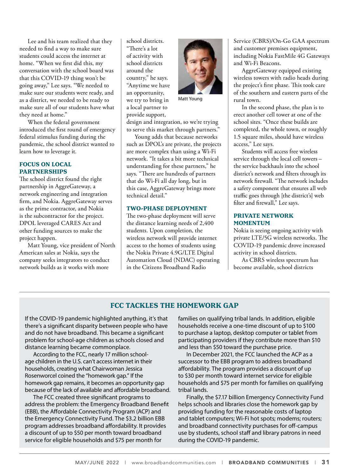Lee and his team realized that they needed to find a way to make sure students could access the internet at home. "When we first did this, my conversation with the school board was that this COVID-19 thing won't be going away," Lee says. "We needed to make sure our students were ready, and as a district, we needed to be ready to make sure all of our students have what they need at home."

When the federal government introduced the first round of emergency federal stimulus funding during the pandemic, the school district wanted to learn how to leverage it.

#### **FOCUS ON LOCAL PARTNERSHIPS**

The school district found the right partnership in AggreGateway, a network engineering and integration firm, and Nokia. AggreGateway serves as the prime contractor, and Nokia is the subcontractor for the project. DPOL leveraged CARES Act and other funding sources to make the project happen.

Matt Young, vice president of North American sales at Nokia, says the company seeks integrators to conduct network builds as it works with more

school districts. "There's a lot of activity with school districts around the country," he says. "Anytime we have an opportunity, we try to bring in a local partner to provide support,



Matt Young

design and integration, so we're trying to serve this market through partners."

Young adds that because networks such as DPOL's are private, the projects are more complex than using a Wi-Fi network. "It takes a bit more technical understanding for these partners," he says. "There are hundreds of partners that do Wi-Fi all day long, but in this case, AggreGateway brings more technical detail."

#### **TWO-PHASE DEPLOYMENT**

The two-phase deployment will serve the distance learning needs of 2,400 students. Upon completion, the wireless network will provide internet access to the homes of students using the Nokia Private 4.9G/LTE Digital Automation Cloud (NDAC) operating in the Citizens Broadband Radio

Service (CBRS)/On-Go GAA spectrum and customer premises equipment, including Nokia FastMile 4G Gateways and Wi-Fi Beacons.

AggreGateway equipped existing wireless towers with radio heads during the project's first phase. This took care of the southern and eastern parts of the rural town.

In the second phase, the plan is to erect another cell tower at one of the school sites. "Once these builds are completed, the whole town, or roughly 1.5 square miles, should have wireless access," Lee says.

Students will access free wireless service through the local cell towers – the service backhauls into the school district's network and filters through its network firewall. "The network includes a safety component that ensures all web traffic goes through [the district's] web filter and firewall," Lee says.

#### **PRIVATE NETWORK MOMENTUM**

Nokia is seeing ongoing activity with private LTE/5G wireless networks. The COVID-19 pandemic drove increased activity in school districts.

As CBRS wireless spectrum has become available, school districts

### **FCC TACKLES THE HOMEWORK GAP**

If the COVID-19 pandemic highlighted anything, it's that there's a significant disparity between people who have and do not have broadband. This became a significant problem for school-age children as schools closed and distance learning became commonplace.

According to the FCC, nearly 17 million schoolage children in the U.S. can't access internet in their households, creating what Chairwoman Jessica Rosenworcel coined the "homework gap." If the homework gap remains, it becomes an opportunity gap because of the lack of available and affordable broadband.

The FCC created three significant programs to address the problem: the Emergency Broadband Benefit (EBB), the Affordable Connectivity Program (ACP) and the Emergency Connectivity Fund. The \$3.2 billion EBB program addresses broadband affordability. It provides a discount of up to \$50 per month toward broadband service for eligible households and \$75 per month for

families on qualifying tribal lands. In addition, eligible households receive a one-time discount of up to \$100 to purchase a laptop, desktop computer or tablet from participating providers if they contribute more than \$10 and less than \$50 toward the purchase price.

In December 2021, the FCC launched the ACP as a successor to the EBB program to address broadband affordability. The program provides a discount of up to \$30 per month toward internet service for eligible households and \$75 per month for families on qualifying tribal lands.

Finally, the \$7.17 billion Emergency Connectivity Fund helps schools and libraries close the homework gap by providing funding for the reasonable costs of laptop and tablet computers; Wi-Fi hot spots; modems; routers; and broadband connectivity purchases for off-campus use by students, school staff and library patrons in need during the COVID-19 pandemic.